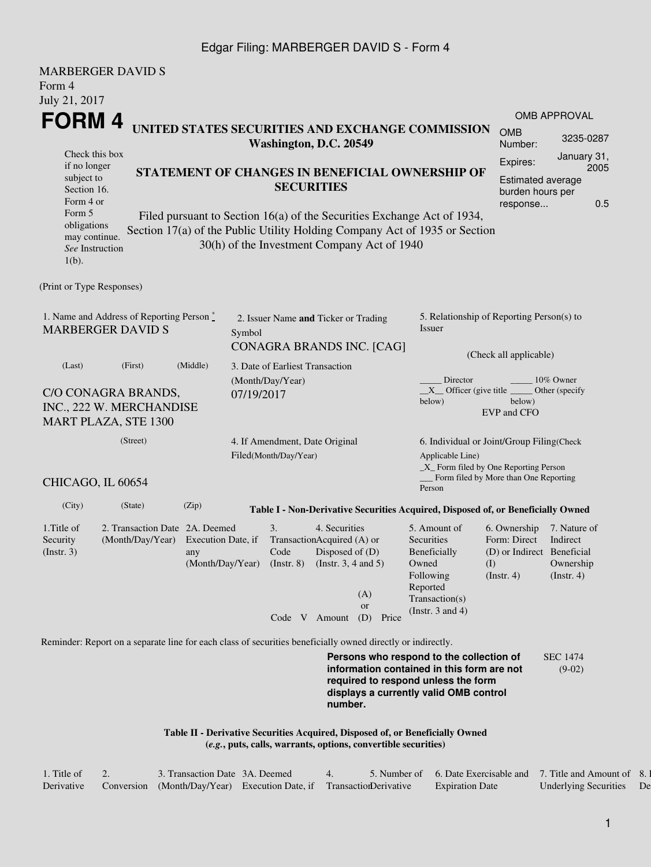### Edgar Filing: MARBERGER DAVID S - Form 4

|                                                                         | <b>MARBERGER DAVID S</b>                                                                                    |                                                     |                                      |                                                               |                                                                           |                                                                |                                                                                                                                                                         |                                                                                  |                                                      |  |  |
|-------------------------------------------------------------------------|-------------------------------------------------------------------------------------------------------------|-----------------------------------------------------|--------------------------------------|---------------------------------------------------------------|---------------------------------------------------------------------------|----------------------------------------------------------------|-------------------------------------------------------------------------------------------------------------------------------------------------------------------------|----------------------------------------------------------------------------------|------------------------------------------------------|--|--|
| Form 4                                                                  |                                                                                                             |                                                     |                                      |                                                               |                                                                           |                                                                |                                                                                                                                                                         |                                                                                  |                                                      |  |  |
| July 21, 2017                                                           |                                                                                                             |                                                     |                                      |                                                               |                                                                           |                                                                |                                                                                                                                                                         |                                                                                  |                                                      |  |  |
| <b>FORM4</b>                                                            |                                                                                                             |                                                     |                                      |                                                               |                                                                           |                                                                | UNITED STATES SECURITIES AND EXCHANGE COMMISSION                                                                                                                        |                                                                                  | OMB APPROVAL                                         |  |  |
|                                                                         |                                                                                                             |                                                     |                                      | Washington, D.C. 20549                                        |                                                                           |                                                                |                                                                                                                                                                         | <b>OMB</b><br>Number:                                                            | 3235-0287                                            |  |  |
| Check this box<br>if no longer                                          |                                                                                                             |                                                     |                                      |                                                               |                                                                           |                                                                |                                                                                                                                                                         | Expires:                                                                         | January 31,<br>2005                                  |  |  |
| subject to<br>Section 16.<br>Form 4 or<br>Form 5                        |                                                                                                             |                                                     |                                      | STATEMENT OF CHANGES IN BENEFICIAL OWNERSHIP OF               | Estimated average<br>burden hours per<br>0.5<br>response                  |                                                                |                                                                                                                                                                         |                                                                                  |                                                      |  |  |
| obligations<br>may continue.<br>See Instruction<br>$1(b)$ .             |                                                                                                             |                                                     |                                      |                                                               |                                                                           | 30(h) of the Investment Company Act of 1940                    | Filed pursuant to Section 16(a) of the Securities Exchange Act of 1934,<br>Section 17(a) of the Public Utility Holding Company Act of 1935 or Section                   |                                                                                  |                                                      |  |  |
| (Print or Type Responses)                                               |                                                                                                             |                                                     |                                      |                                                               |                                                                           |                                                                |                                                                                                                                                                         |                                                                                  |                                                      |  |  |
|                                                                         | 1. Name and Address of Reporting Person $\degree$<br><b>MARBERGER DAVID S</b>                               | Symbol                                              | 2. Issuer Name and Ticker or Trading |                                                               |                                                                           | 5. Relationship of Reporting Person(s) to<br>Issuer            |                                                                                                                                                                         |                                                                                  |                                                      |  |  |
|                                                                         | (First)                                                                                                     | (Middle)                                            |                                      |                                                               |                                                                           | CONAGRA BRANDS INC. [CAG]                                      |                                                                                                                                                                         | (Check all applicable)                                                           |                                                      |  |  |
| (Last)                                                                  |                                                                                                             | 3. Date of Earliest Transaction<br>(Month/Day/Year) |                                      |                                                               | Director<br>10% Owner<br>$X$ Officer (give title $\_\_\_\$ Other (specify |                                                                |                                                                                                                                                                         |                                                                                  |                                                      |  |  |
| C/O CONAGRA BRANDS,<br>INC., 222 W. MERCHANDISE<br>MART PLAZA, STE 1300 | 07/19/2017                                                                                                  |                                                     |                                      |                                                               | below)<br>below)<br>EVP and CFO                                           |                                                                |                                                                                                                                                                         |                                                                                  |                                                      |  |  |
| (Street)                                                                |                                                                                                             |                                                     |                                      | 4. If Amendment, Date Original<br>Filed(Month/Day/Year)       |                                                                           |                                                                | 6. Individual or Joint/Group Filing(Check<br>Applicable Line)<br>$\_X$ Form filed by One Reporting Person<br>Form filed by More than One Reporting                      |                                                                                  |                                                      |  |  |
| CHICAGO, IL 60654                                                       |                                                                                                             |                                                     |                                      |                                                               |                                                                           |                                                                | Person                                                                                                                                                                  |                                                                                  |                                                      |  |  |
| (City)                                                                  | (State)                                                                                                     | (Zip)                                               |                                      |                                                               |                                                                           |                                                                | Table I - Non-Derivative Securities Acquired, Disposed of, or Beneficially Owned                                                                                        |                                                                                  |                                                      |  |  |
| 1. Title of<br>Security<br>$($ Instr. 3 $)$                             | 2. Transaction Date 2A. Deemed<br>(Month/Day/Year) Execution Date, if                                       | any                                                 |                                      | 3.<br>Code<br>(Month/Day/Year) (Instr. 8) (Instr. 3, 4 and 5) | 4. Securities<br>TransactionAcquired (A) or<br>Disposed of $(D)$          | (A)<br><b>or</b>                                               | 5. Amount of<br>Securities<br>Beneficially<br>Owned<br>Following<br>Reported<br>Transaction(s)                                                                          | 6. Ownership<br>Form: Direct<br>(D) or Indirect Beneficial<br>(I)<br>(Insert. 4) | 7. Nature of<br>Indirect<br>Ownership<br>(Insert. 4) |  |  |
|                                                                         |                                                                                                             |                                                     |                                      |                                                               | Code V Amount                                                             | (D) Price                                                      | (Instr. $3$ and $4$ )                                                                                                                                                   |                                                                                  |                                                      |  |  |
|                                                                         | Reminder: Report on a separate line for each class of securities beneficially owned directly or indirectly. |                                                     |                                      |                                                               |                                                                           |                                                                |                                                                                                                                                                         |                                                                                  |                                                      |  |  |
|                                                                         |                                                                                                             |                                                     |                                      |                                                               | number.                                                                   |                                                                | Persons who respond to the collection of<br>information contained in this form are not<br>required to respond unless the form<br>displays a currently valid OMB control |                                                                                  | <b>SEC 1474</b><br>$(9-02)$                          |  |  |
|                                                                         |                                                                                                             |                                                     |                                      |                                                               |                                                                           | (e.g., puts, calls, warrants, options, convertible securities) | Table II - Derivative Securities Acquired, Disposed of, or Beneficially Owned                                                                                           |                                                                                  |                                                      |  |  |

| l. Title of |            | 3. Transaction Date 3A. Deemed                            |  | Number of | 6. Date Exercisable and 7. Title and Amount of |                              |    |
|-------------|------------|-----------------------------------------------------------|--|-----------|------------------------------------------------|------------------------------|----|
| Derivative  | Conversion | (Month/Day/Year) Execution Date, if TransactionDerivative |  |           | <b>Expiration Date</b>                         | <b>Underlying Securities</b> | De |